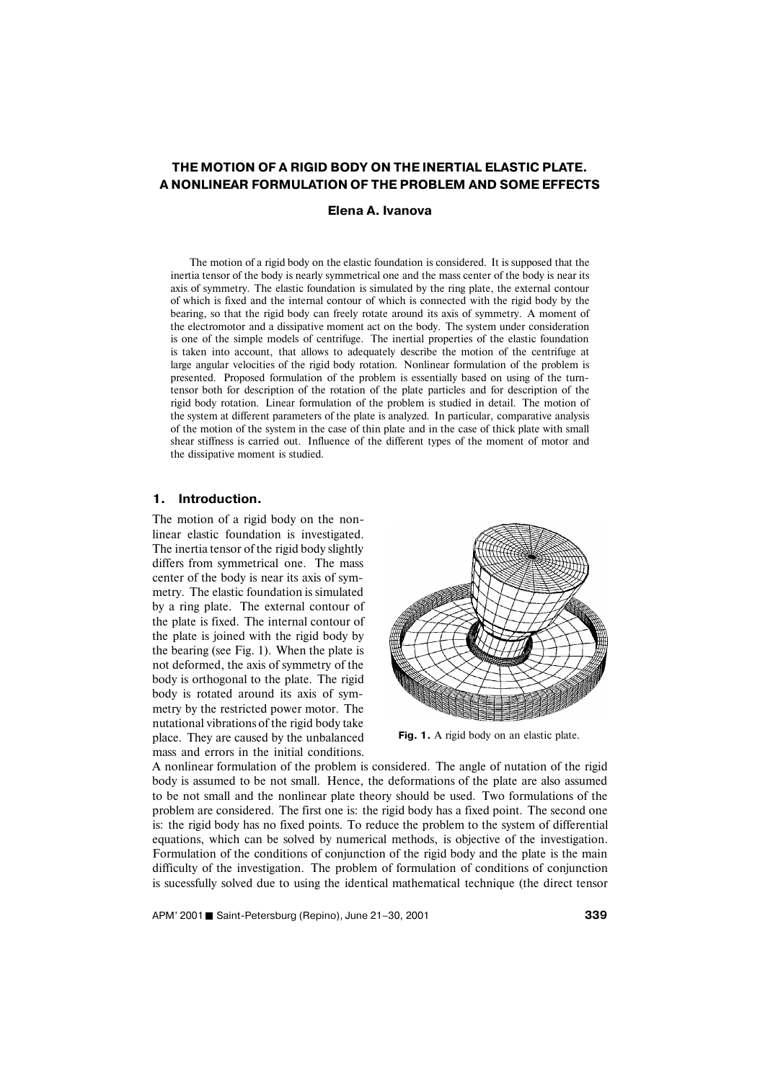# **THE MOTION OF A RIGID BODY ON THE INERTIAL ELASTIC PLATE. A NONLINEAR FORMULATION OF THE PROBLEM AND SOME EFFECTS**

**Elena A. Ivanova**

The motion of a rigid body on the elastic foundation is considered. It is supposed that the inertia tensor of the body is nearly symmetrical one and the mass center of the body is near its axis of symmetry. The elastic foundation is simulated by the ring plate, the external contour of which is fixed and the internal contour of which is connected with the rigid body by the bearing, so that the rigid body can freely rotate around its axis of symmetry. A moment of the electromotor and a dissipative moment act on the body. The system under consideration is one of the simple models of centrifuge. The inertial properties of the elastic foundation is taken into account, that allows to adequately describe the motion of the centrifuge at large angular velocities of the rigid body rotation. Nonlinear formulation of the problem is presented. Proposed formulation of the problem is essentially based on using of the turntensor both for description of the rotation of the plate particles and for description of the rigid body rotation. Linear formulation of the problem is studied in detail. The motion of the system at different parameters of the plate is analyzed. In particular, comparative analysis of the motion of the system in the case of thin plate and in the case of thick plate with small shear stiffness is carried out. Influence of the different types of the moment of motor and the dissipative moment is studied.

#### **1. Introduction.**

The motion of a rigid body on the nonlinear elastic foundation is investigated. The inertia tensor of the rigid body slightly differs from symmetrical one. The mass center of the body is near its axis of symmetry. The elastic foundation is simulated by a ring plate. The external contour of the plate is fixed. The internal contour of the plate is joined with the rigid body by the bearing (see Fig. 1). When the plate is not deformed, the axis of symmetry of the body is orthogonal to the plate. The rigid body is rotated around its axis of symmetry by the restricted power motor. The nutational vibrations of the rigid body take place. They are caused by the unbalanced mass and errors in the initial conditions.



Fig. 1. A rigid body on an elastic plate.

A nonlinear formulation of the problem is considered. The angle of nutation of the rigid body is assumed to be not small. Hence, the deformations of the plate are also assumed to be not small and the nonlinear plate theory should be used. Two formulations of the problem are considered. The first one is: the rigid body has a fixed point. The second one is: the rigid body has no fixed points. To reduce the problem to the system of differential equations, which can be solved by numerical methods, is objective of the investigation. Formulation of the conditions of conjunction of the rigid body and the plate is the main difficulty of the investigation. The problem of formulation of conditions of conjunction is sucessfully solved due to using the identical mathematical technique (the direct tensor

APM' 2001 Saint-Petersburg (Repino), June 21–30, 2001 **<sup>339</sup>**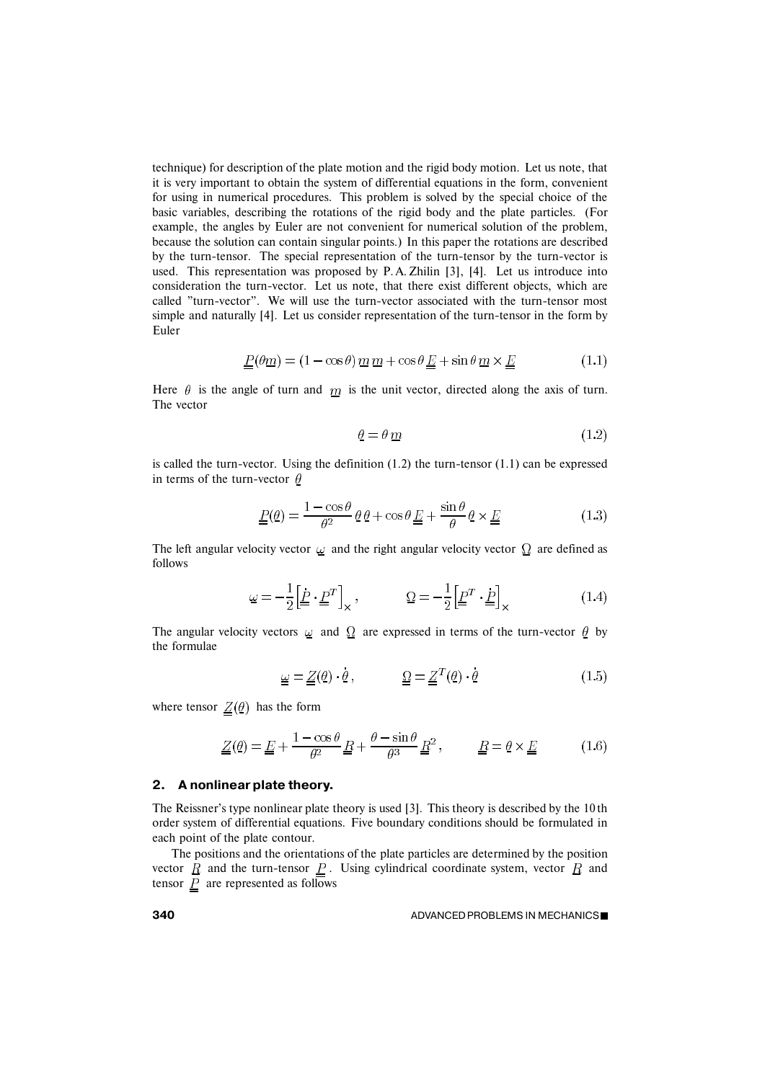technique) for description of the plate motion and the rigid body motion. Let us note, that it is very important to obtain the system of differential equations in the form, convenient for using in numerical procedures. This problem is solved by the special choice of the basic variables, describing the rotations of the rigid body and the plate particles. (For example, the angles by Euler are not convenient for numerical solution of the problem, because the solution can contain singular points.) In this paper the rotations are described by the turn-tensor. The special representation of the turn-tensor by the turn-vector is used. This representation was proposed by P. A. Zhilin [3], [4]. Let us introduce into consideration the turn-vector. Let us note, that there exist different objects, which are called "turn-vector". We will use the turn-vector associated with the turn-tensor most simple and naturally [4]. Let us consider representation of the turn-tensor in the form by Euler

$$
\underline{\underline{P}}(\theta \underline{m}) = (1 - \cos \theta) \underline{m} \underline{m} + \cos \theta \underline{\underline{E}} + \sin \theta \underline{m} \times \underline{\underline{E}} \tag{1.1}
$$

Here  $\theta$  is the angle of turn and  $\overline{m}$  is the unit vector, directed along the axis of turn. The vector

$$
\underline{\theta} = \theta \, \underline{m} \tag{1.2}
$$

is called the turn-vector. Using the definition  $(1.2)$  the turn-tensor  $(1.1)$  can be expressed in terms of the turn-vector  $\theta$ 

$$
\underline{\underline{P}}(\underline{\theta}) = \frac{1 - \cos \theta}{\theta^2} \underline{\theta} \underline{\theta} + \cos \theta \underline{\underline{E}} + \frac{\sin \theta}{\theta} \underline{\theta} \times \underline{\underline{E}} \tag{1.3}
$$

The left angular velocity vector  $\omega$  and the right angular velocity vector  $\Omega$  are defined as follows

$$
\underline{\omega} = -\frac{1}{2} \left[ \underline{\dot{P}} \cdot \underline{P}^T \right]_{\times}, \qquad \underline{\Omega} = -\frac{1}{2} \left[ \underline{P}^T \cdot \underline{P} \right]_{\times} \tag{1.4}
$$

The angular velocity vectors  $\omega$  and  $\Omega$  are expressed in terms of the turn-vector  $\theta$  by the formulae

$$
\underline{\omega} = \underline{Z}(\underline{\theta}) \cdot \underline{\theta}, \qquad \underline{\underline{\Omega}} = \underline{Z}^T(\underline{\theta}) \cdot \underline{\theta} \qquad (1.5)
$$

where tensor  $Z(\theta)$  has the form

$$
\underline{Z}(\underline{\theta}) = \underline{E} + \frac{1 - \cos \theta}{\theta^2} \underline{R} + \frac{\theta - \sin \theta}{\theta^3} \underline{R}^2, \qquad \underline{R} = \underline{\theta} \times \underline{E} \tag{1.6}
$$

### **2. A nonlinear plate theory.**

The Reissner's type nonlinear plate theory is used [3]. This theory is described by the 10 th order system of differential equations. Five boundary conditions should be formulated in each point of the plate contour.

The positions and the orientations of the plate particles are determined by the position vector  $R$  and the turn-tensor  $P$ . Using cylindrical coordinate system, vector  $R$  and tensor  $\underline{P}$  are represented as follows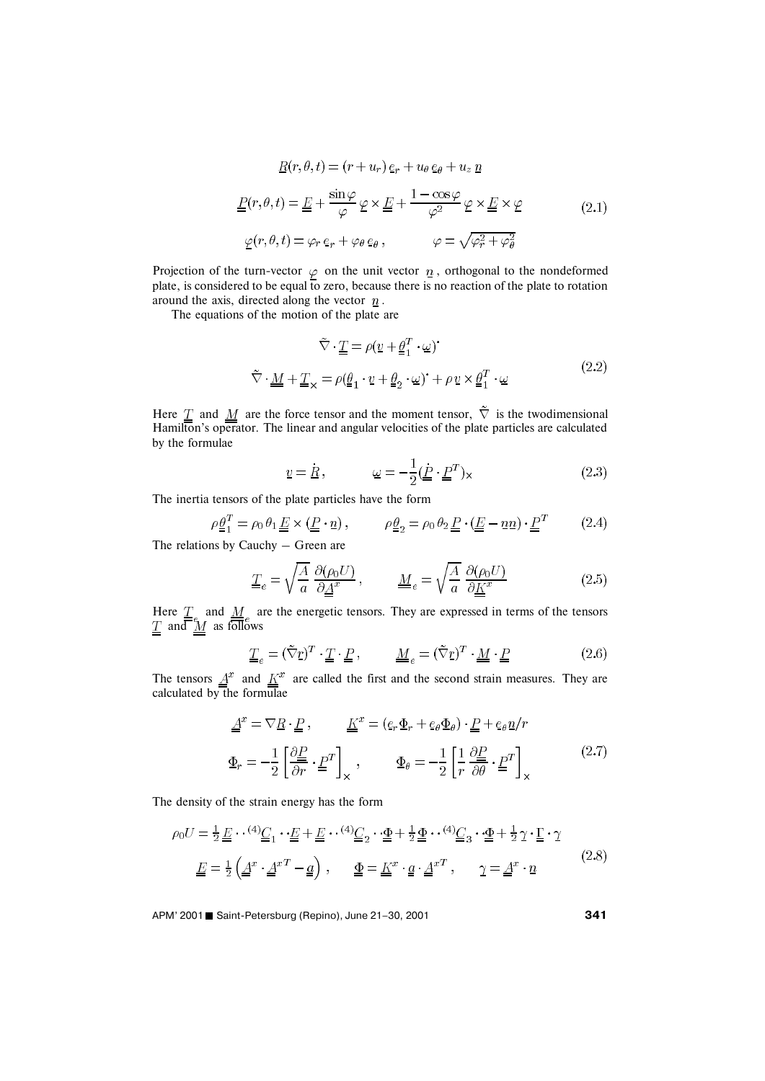$$
\underline{R}(r,\theta,t) = (r+u_r)\,\underline{e}_r + u_\theta\,\underline{e}_\theta + u_z\,\underline{n}
$$
\n
$$
\underline{P}(r,\theta,t) = \underline{E} + \frac{\sin\varphi}{\varphi}\,\varphi \times \underline{E} + \frac{1-\cos\varphi}{\varphi^2}\,\varphi \times \underline{E} \times \varphi
$$
\n
$$
\varphi(r,\theta,t) = \varphi_r\,\underline{e}_r + \varphi_\theta\,\underline{e}_\theta\,, \qquad \varphi = \sqrt{\varphi_r^2 + \varphi_\theta^2}
$$
\n(2.1)

Projection of the turn-vector  $\varphi$  on the unit vector  $\bar{n}$ , orthogonal to the nondeformed plate, is considered to be equal to zero, because there is no reaction of the plate to rotation around the axis, directed along the vector  $\overline{n}$ .

The equations of the motion of the plate are

$$
\tilde{\nabla} \cdot \underline{\underline{T}} = \rho(\underline{v} + \underline{\underline{\theta}}_1^T \cdot \underline{\omega})^*
$$
\n
$$
\tilde{\nabla} \cdot \underline{\underline{M}} + \underline{\underline{T}}_{\times} = \rho(\underline{\underline{\theta}}_1 \cdot \underline{v} + \underline{\underline{\theta}}_2 \cdot \underline{\omega})^* + \rho \underline{v} \times \underline{\underline{\theta}}_1^T \cdot \underline{\omega}
$$
\n(2.2)

Here  $\underline{T}$  and  $\underline{M}$  are the force tensor and the moment tensor,  $\nabla$  is the twodimensional Hamilton's operator. The linear and angular velocities of the plate particles are calculated by the formulae

$$
\underline{v} = \underline{R}, \qquad \underline{\omega} = -\frac{1}{2}(\underline{\underline{P}} \cdot \underline{\underline{P}}^T) \times \tag{2.3}
$$

The inertia tensors of the plate particles have the form

$$
\rho \underline{\theta}_1^T = \rho_0 \theta_1 \underline{E} \times (\underline{P} \cdot \underline{n}), \qquad \rho \underline{\theta}_2 = \rho_0 \theta_2 \underline{P} \cdot (\underline{E} - \underline{n} \underline{n}) \cdot \underline{P}^T \qquad (2.4)
$$

The relations by Cauchy – Green are

$$
\underline{\underline{T}}_e = \sqrt{\frac{A}{a}} \frac{\partial(\rho_0 U)}{\partial \underline{\underline{A}}^x}, \qquad \underline{\underline{M}}_e = \sqrt{\frac{A}{a}} \frac{\partial(\rho_0 U)}{\partial \underline{\underline{K}}^x}
$$
(2.5)

Here  $T_{\perp}$  and  $M_{\perp}$  are the energetic tensors. They are expressed in terms of the tensors and  $\overline{M}$  as follows

$$
\underline{\underline{T}}_e = (\tilde{\nabla} \underline{r})^T \cdot \underline{\underline{T}} \cdot \underline{\underline{P}}, \qquad \underline{\underline{M}}_e = (\tilde{\nabla} \underline{r})^T \cdot \underline{\underline{M}} \cdot \underline{\underline{P}} \tag{2.6}
$$

The tensors  $\underline{A}^x$  and  $\underline{K}^x$  are called the first and the second strain measures. They are calculated by the formulae

$$
\underline{\underline{A}}^x = \nabla \underline{R} \cdot \underline{P} , \qquad \underline{\underline{K}}^x = (\underline{e}_r \underline{\Phi}_r + \underline{e}_\theta \underline{\Phi}_\theta) \cdot \underline{P} + \underline{e}_\theta \underline{n}/r
$$
\n
$$
\underline{\Phi}_r = -\frac{1}{2} \left[ \frac{\partial \underline{P}}{\partial r} \cdot \underline{P}^T \right]_{\times} , \qquad \underline{\Phi}_\theta = -\frac{1}{2} \left[ \frac{1}{r} \frac{\partial \underline{P}}{\partial \theta} \cdot \underline{P}^T \right]_{\times} (2.7)
$$

The density of the strain energy has the form

$$
\rho_0 U = \frac{1}{2} \underline{E} \cdots {}^{(4)}\underline{C}_1 \cdots \underline{E} + \underline{E} \cdots {}^{(4)}\underline{C}_2 \cdots \underline{\Phi} + \frac{1}{2} \underline{\Phi} \cdots {}^{(4)}\underline{C}_3 \cdots \underline{\Phi} + \frac{1}{2} \gamma \cdot \underline{\Gamma} \cdot \gamma
$$
\n
$$
\underline{E} = \frac{1}{2} \left( \underline{A}^x \cdot \underline{A}^{xT} - \underline{a} \right) , \qquad \underline{\Phi} = \underline{K}^x \cdot \underline{a} \cdot \underline{A}^{xT} , \qquad \gamma = \underline{A}^x \cdot \underline{n} \tag{2.8}
$$

APM' 2001 ■ Saint-Petersburg (Repino), June 21-30, 2001 **341**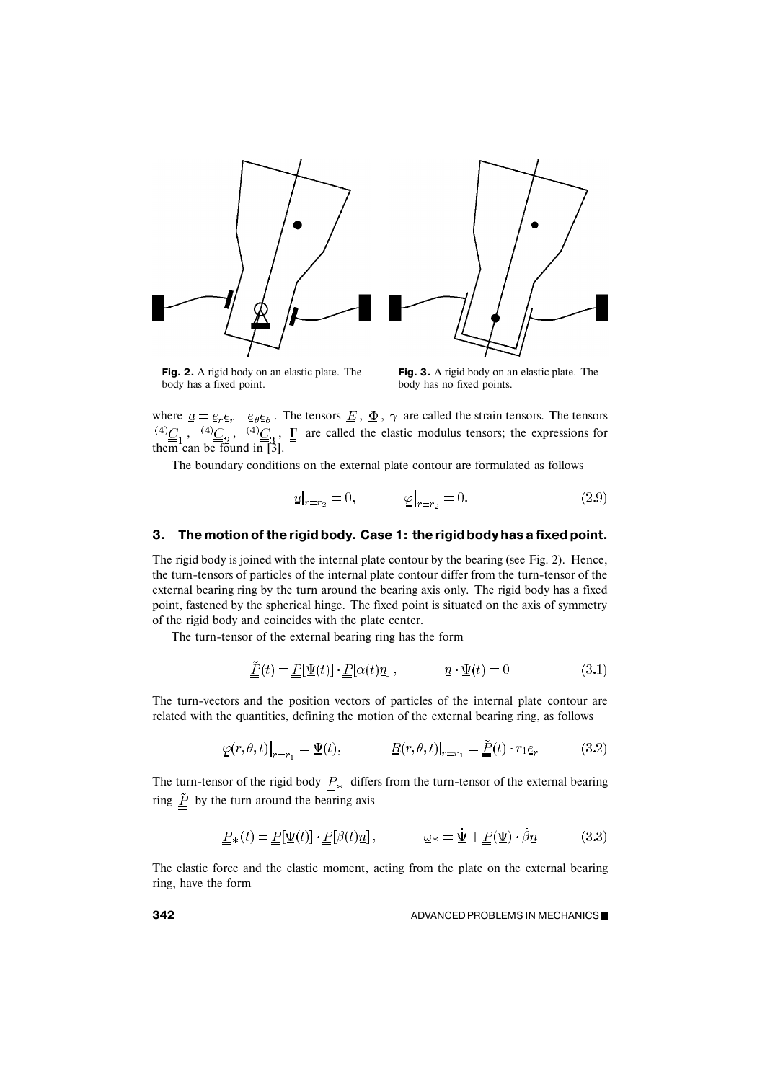

**Fig. 2.** A rigid body on an elastic plate. The body has a fixed point.

**Fig. 3.** A rigid body on an elastic plate. The body has no fixed points.

where  $a = e_r e_r + e_\theta e_\theta$ . The tensors  $E$ ,  $\Phi$ ,  $\gamma$  are called the strain tensors. The tensors ,  $^{(4)}C_2$ ,  $^{(4)}C_2$ ,  $\Gamma$  are called the elastic modulus tensors; the expressions for them can be found in [3].

The boundary conditions on the external plate contour are formulated as follows

$$
\underline{u}|_{r=r_2} = 0, \qquad \underline{\varphi}|_{r=r_2} = 0. \tag{2.9}
$$

### **3. The motion of the rigid body. Case 1: the rigid body has a fixed point.**

The rigid body is joined with the internal plate contour by the bearing (see Fig. 2). Hence, the turn-tensors of particles of the internal plate contour differ from the turn-tensor of the external bearing ring by the turn around the bearing axis only. The rigid body has a fixed point, fastened by the spherical hinge. The fixed point is situated on the axis of symmetry of the rigid body and coincides with the plate center.

The turn-tensor of the external bearing ring has the form

$$
\underline{\tilde{P}}(t) = \underline{P}[\underline{\Psi}(t)] \cdot \underline{P}[\alpha(t)\underline{n}], \qquad \underline{n} \cdot \underline{\Psi}(t) = 0 \qquad (3.1)
$$

The turn-vectors and the position vectors of particles of the internal plate contour are related with the quantities, defining the motion of the external bearing ring, as follows

$$
\underline{\varphi}(r,\theta,t)\big|_{r=r_1} = \underline{\Psi}(t), \qquad \underline{R}(r,\theta,t)\big|_{r=r_1} = \underline{\underline{\tilde{P}}}(t) \cdot r_1 \underline{e}_r \tag{3.2}
$$

The turn-tensor of the rigid body  $\underline{P}_*$  differs from the turn-tensor of the external bearing ring  $\underline{\underline{\tilde{P}}}$  by the turn around the bearing axis

$$
\underline{\underline{P}}_{*}(t) = \underline{\underline{P}}[\underline{\Psi}(t)] \cdot \underline{\underline{P}}[\beta(t)\underline{n}], \qquad \underline{\omega}_{*} = \underline{\Psi} + \underline{\underline{P}}(\underline{\Psi}) \cdot \beta \underline{n} \qquad (3.3)
$$

The elastic force and the elastic moment, acting from the plate on the external bearing ring, have the form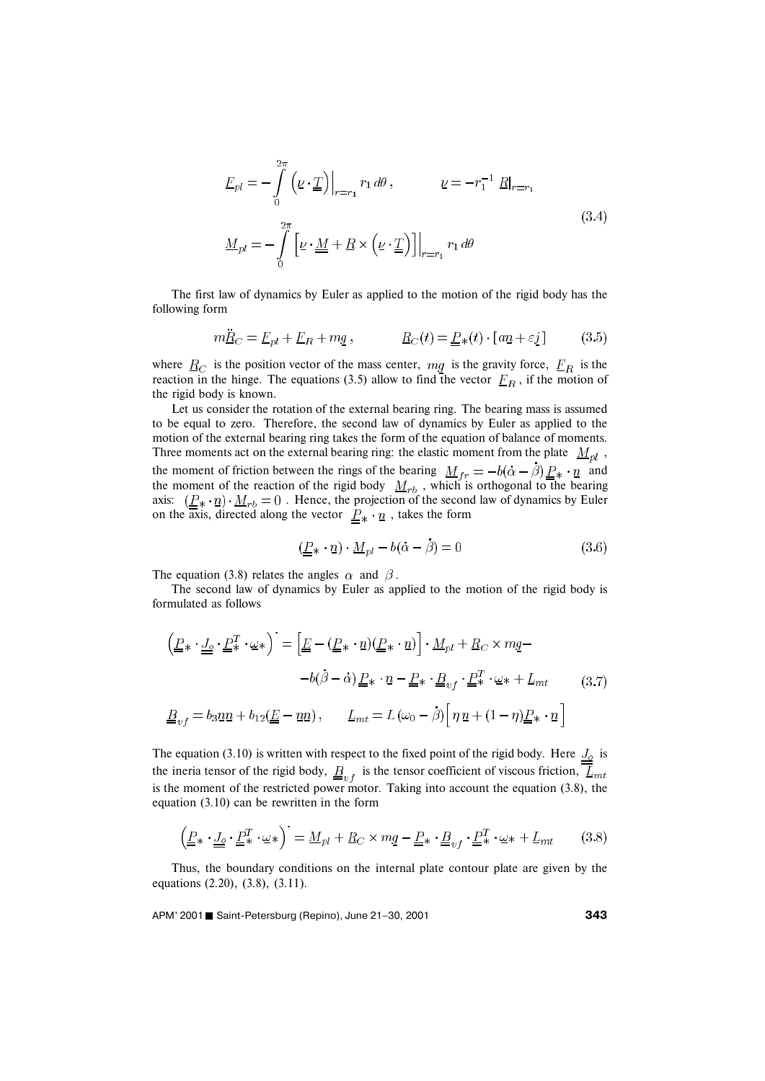$$
\underline{F}_{pl} = -\int_{0}^{2\pi} \left( \underline{\nu} \cdot \underline{\underline{T}} \right) \Big|_{r=r_1} r_1 d\theta, \qquad \underline{\nu} = -r_1^{-1} \underline{R} \Big|_{r=r_1}
$$
\n
$$
\underline{M}_{pl} = -\int_{0}^{2\pi} \left[ \underline{\nu} \cdot \underline{\underline{M}} + \underline{R} \times \left( \underline{\nu} \cdot \underline{\underline{T}} \right) \right] \Big|_{r=r_1} r_1 d\theta \tag{3.4}
$$

The first law of dynamics by Euler as applied to the motion of the rigid body has the following form

$$
m\ddot{\underline{R}}_C = \underline{F}_{pl} + \underline{F}_R + mg, \qquad \underline{R}_C(t) = \underline{P}_*(t) \cdot [a\underline{n} + \varepsilon \underline{j}] \qquad (3.5)
$$

where  $R_C$  is the position vector of the mass center,  $mg$  is the gravity force,  $F_R$  is the reaction in the hinge. The equations (3.5) allow to find the vector  $F_R$ , if the motion of the rigid body is known.

Let us consider the rotation of the external bearing ring. The bearing mass is assumed to be equal to zero. Therefore, the second law of dynamics by Euler as applied to the motion of the external bearing ring takes the form of the equation of balance of moments. Three moments act on the external bearing ring: the elastic moment from the plate  $M_{pl}$ , the moment of friction between the rings of the bearing  $M_{tr} = -b(\alpha - \beta) P_{\ast} \cdot n$  and the moment of the reaction of the rigid body  $M_{rb}$ , which is orthogonal to the bearing axis:  $(\underline{P}_*, \underline{n}) \cdot \underline{M}_{rb} = 0$ . Hence, the projection of the second law of dynamics by Euler on the axis, directed along the vector  $P_* \cdot n$ , takes the form

$$
(\underline{P} * \cdot \underline{n}) \cdot \underline{M}_{pl} - b(\alpha - \beta) = 0 \tag{3.6}
$$

The equation (3.8) relates the angles  $\alpha$  and  $\beta$ .

The second law of dynamics by Euler as applied to the motion of the rigid body is formulated as follows

$$
\left(\underline{P}_{*} \cdot \underline{J}_{\underline{o}} \cdot \underline{P}_{*}^{T} \cdot \omega_{*}\right)^{\cdot} = \left[\underline{E} - (\underline{P}_{*} \cdot \underline{n})(\underline{P}_{*} \cdot \underline{n})\right] \cdot \underline{M}_{pl} + \underline{R}_{C} \times m\underline{q} -
$$
\n
$$
-b(\beta - \alpha) \underline{P}_{*} \cdot \underline{n} - \underline{P}_{*} \cdot \underline{B}_{vf} \cdot \underline{P}_{*}^{T} \cdot \omega_{*} + \underline{L}_{mt} \tag{3.7}
$$
\n
$$
\underline{B}_{vf} = b_{3} \underline{n} \underline{n} + b_{12} (\underline{E} - \underline{n} \underline{n}), \qquad \underline{L}_{mt} = L(\omega_{0} - \beta) \Big[\eta \underline{n} + (1 - \eta) \underline{P}_{*} \cdot \underline{n}\Big]
$$

The equation (3.10) is written with respect to the fixed point of the rigid body. Here  $J_0$  is the ineria tensor of the rigid body,  $\underline{B}_{v}$  is the tensor coefficient of viscous friction,  $\overline{L}_{mt}$ is the moment of the restricted power motor. Taking into account the equation (3.8), the equation (3.10) can be rewritten in the form

$$
\left(\underline{\underline{P}}\ast \cdot \underline{\underline{J}}_0 \cdot \underline{\underline{P}}^T\ast \cdot \underline{\omega}\ast\right) = \underline{M}_{pl} + \underline{R}_C \times m\underline{q} - \underline{\underline{P}}\ast \cdot \underline{\underline{B}}_{vf} \cdot \underline{\underline{P}}^T\ast \cdot \underline{\omega}\ast + \underline{L}_{mt} \tag{3.8}
$$

Thus, the boundary conditions on the internal plate contour plate are given by the equations (2.20), (3.8), (3.11).

APM' 2001 Saint-Petersburg (Repino), June 21–30, 2001 **<sup>343</sup>**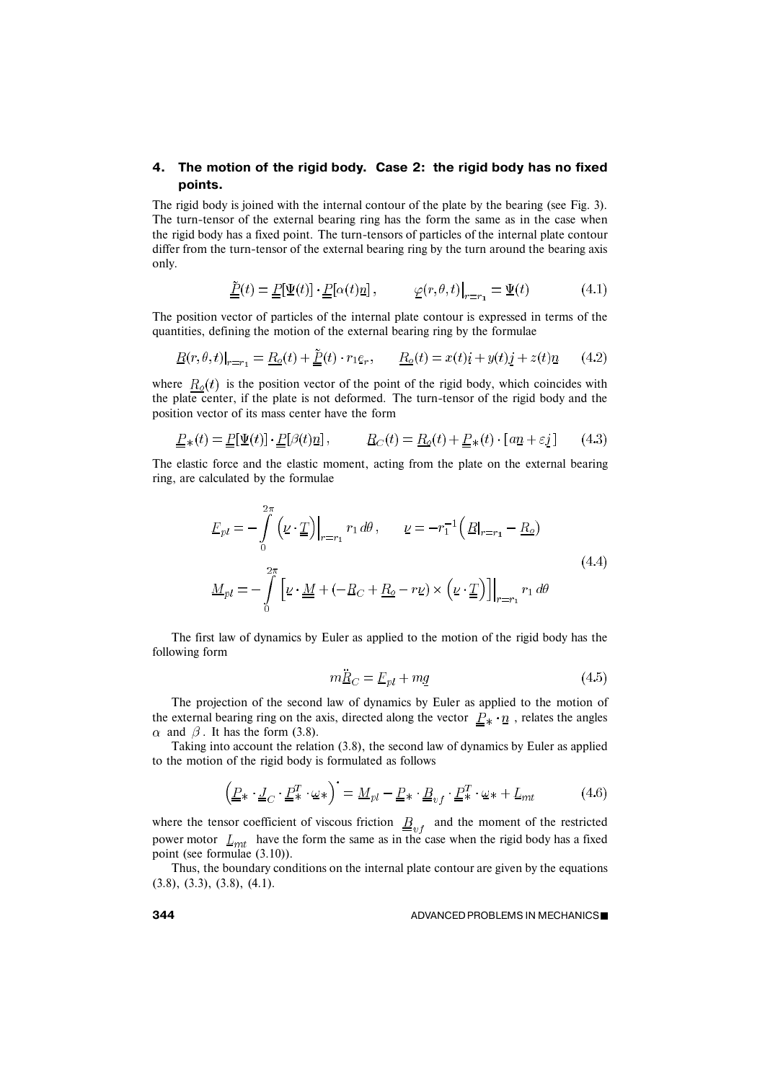# **4. The motion of the rigid body. Case 2: the rigid body has no fixed points.**

The rigid body is joined with the internal contour of the plate by the bearing (see Fig. 3). The turn-tensor of the external bearing ring has the form the same as in the case when the rigid body has a fixed point. The turn-tensors of particles of the internal plate contour differ from the turn-tensor of the external bearing ring by the turn around the bearing axis only.

$$
\underline{\tilde{P}}(t) = \underline{P}[\Psi(t)] \cdot \underline{P}[\alpha(t)\underline{n}], \qquad \varphi(r,\theta,t)|_{r=r_1} = \Psi(t) \qquad (4.1)
$$

The position vector of particles of the internal plate contour is expressed in terms of the quantities, defining the motion of the external bearing ring by the formulae

$$
\underline{R}(r,\theta,t)|_{r=r_1} = \underline{R_o}(t) + \underline{\tilde{P}}(t) \cdot r_1 e_r, \qquad \underline{R_o}(t) = x(t)i + y(t)j + z(t)\underline{n} \tag{4.2}
$$

where  $R_o(t)$  is the position vector of the point of the rigid body, which coincides with the plate center, if the plate is not deformed. The turn-tensor of the rigid body and the position vector of its mass center have the form

$$
\underline{P}_{*}(t) = \underline{P}[\underline{\Psi}(t)] \cdot \underline{P}[\beta(t)\underline{n}], \qquad \underline{R}_{C}(t) = \underline{R}_{\underline{o}}(t) + \underline{P}_{*}(t) \cdot [a\underline{n} + \varepsilon \underline{j}] \qquad (4.3)
$$

The elastic force and the elastic moment, acting from the plate on the external bearing ring, are calculated by the formulae

$$
\underline{F}_{pl} = -\int_{0}^{2\pi} \left( \underline{\nu} \cdot \underline{\underline{T}} \right) \Big|_{r=r_1} r_1 d\theta, \qquad \underline{\nu} = -r_1^{-1} \left( \underline{R} \Big|_{r=r_1} - \underline{R}_0 \right)
$$
\n
$$
\underline{M}_{pl} = -\int_{0}^{2\pi} \left[ \underline{\nu} \cdot \underline{\underline{M}} + \left( -\underline{R}_C + \underline{R}_0 - r\underline{\nu} \right) \times \left( \underline{\nu} \cdot \underline{\underline{T}} \right) \right] \Big|_{r=r_1} r_1 d\theta
$$
\n(4.4)

The first law of dynamics by Euler as applied to the motion of the rigid body has the following form

$$
m\ddot{\underline{R}}_C = \underline{F}_{pl} + mg \tag{4.5}
$$

The projection of the second law of dynamics by Euler as applied to the motion of the external bearing ring on the axis, directed along the vector  $P_* \cdot n$ , relates the angles  $\alpha$  and  $\beta$ . It has the form (3.8).

Taking into account the relation (3.8), the second law of dynamics by Euler as applied to the motion of the rigid body is formulated as follows

$$
\left(\underline{P}_{*} \cdot \underline{J}_{C} \cdot \underline{P}_{*}^{T} \cdot \underline{\omega}_{*}\right)^{\cdot} = \underline{M}_{pl} - \underline{P}_{*} \cdot \underline{B}_{vf} \cdot \underline{P}_{*}^{T} \cdot \underline{\omega}_{*} + \underline{L}_{mt} \tag{4.6}
$$

where the tensor coefficient of viscous friction  $\underline{B}_{vf}$  and the moment of the restricted power motor  $L_{mt}$  have the form the same as in the case when the rigid body has a fixed point (see formulae (3.10)).

Thus, the boundary conditions on the internal plate contour are given by the equations (3.8), (3.3), (3.8), (4.1).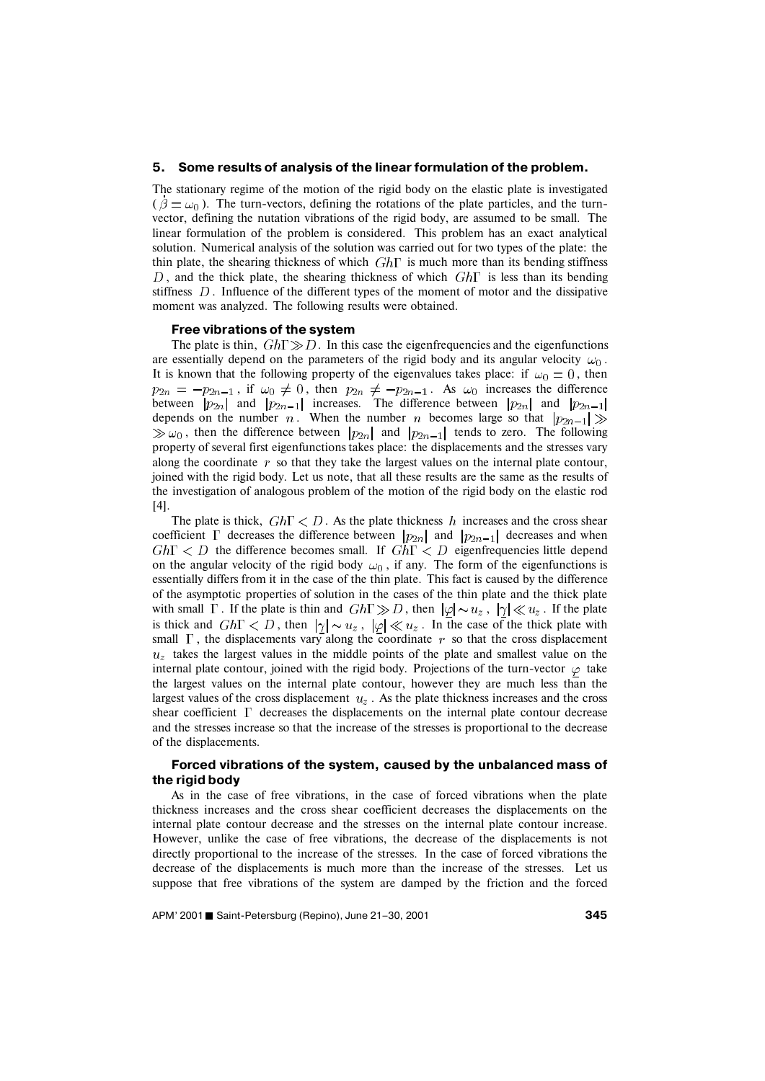#### **5. Some results of analysis of the linear formulation of the problem.**

The stationary regime of the motion of the rigid body on the elastic plate is investigated  $(\hat{\beta} = \omega_0)$ . The turn-vectors, defining the rotations of the plate particles, and the turnvector, defining the nutation vibrations of the rigid body, are assumed to be small. The linear formulation of the problem is considered. This problem has an exact analytical solution. Numerical analysis of the solution was carried out for two types of the plate: the thin plate, the shearing thickness of which  $Gh\Gamma$  is much more than its bending stiffness D, and the thick plate, the shearing thickness of which  $Gh\Gamma$  is less than its bending stiffness  $D$ . Influence of the different types of the moment of motor and the dissipative moment was analyzed. The following results were obtained.

#### **Free vibrations of the system**

The plate is thin,  $Gh\Gamma \gg D$ . In this case the eigenfrequencies and the eigenfunctions are essentially depend on the parameters of the rigid body and its angular velocity  $\omega_0$ . It is known that the following property of the eigenvalues takes place: if  $\omega_0 = 0$ , then , if  $\omega_0 \neq 0$ , then  $p_{2n} \neq -p_{2n-1}$ . As  $\omega_0$  increases the difference between  $|p_{2n}|$  and  $|p_{2n-1}|$  increases. The difference between  $|p_{2n}|$  and depends on the number  $n$ . When the number  $n$  becomes large so that  $\gg \omega_0$ , then the difference between  $|p_{2n}|$  and  $|p_{2n-1}|$  tends to zero. The following property of several first eigenfunctions takes place: the displacements and the stresses vary along the coordinate  $r$  so that they take the largest values on the internal plate contour, joined with the rigid body. Let us note, that all these results are the same as the results of the investigation of analogous problem of the motion of the rigid body on the elastic rod [4].

The plate is thick,  $Gh\Gamma \leq D$ . As the plate thickness h increases and the cross shear coefficient  $\Gamma$  decreases the difference between  $|p_{2n}|$  and  $|p_{2n-1}|$  decreases and when  $Gh\Gamma < D$  the difference becomes small. If  $Gh\Gamma < D$  eigenfrequencies little depend on the angular velocity of the rigid body  $\omega_0$ , if any. The form of the eigenfunctions is essentially differs from it in the case of the thin plate. This fact is caused by the difference of the asymptotic properties of solution in the cases of the thin plate and the thick plate with small  $\Gamma$ . If the plate is thin and  $Gh\Gamma \gg D$ , then  $|\varphi| \sim u_z$ ,  $|\gamma| \ll u_z$ . If the plate is thick and  $Gh\Gamma < D$ , then  $|\gamma| \sim u_z$ ,  $|\varphi| \ll u_z$ . In the case of the thick plate with small  $\Gamma$ , the displacements vary along the coordinate r so that the cross displacement  $u<sub>z</sub>$  takes the largest values in the middle points of the plate and smallest value on the internal plate contour, joined with the rigid body. Projections of the turn-vector  $\varphi$  take the largest values on the internal plate contour, however they are much less than the largest values of the cross displacement  $u_z$ . As the plate thickness increases and the cross shear coefficient  $\Gamma$  decreases the displacements on the internal plate contour decrease and the stresses increase so that the increase of the stresses is proportional to the decrease of the displacements.

# **Forced vibrations of the system, caused by the unbalanced mass of the rigid body**

As in the case of free vibrations, in the case of forced vibrations when the plate thickness increases and the cross shear coefficient decreases the displacements on the internal plate contour decrease and the stresses on the internal plate contour increase. However, unlike the case of free vibrations, the decrease of the displacements is not directly proportional to the increase of the stresses. In the case of forced vibrations the decrease of the displacements is much more than the increase of the stresses. Let us suppose that free vibrations of the system are damped by the friction and the forced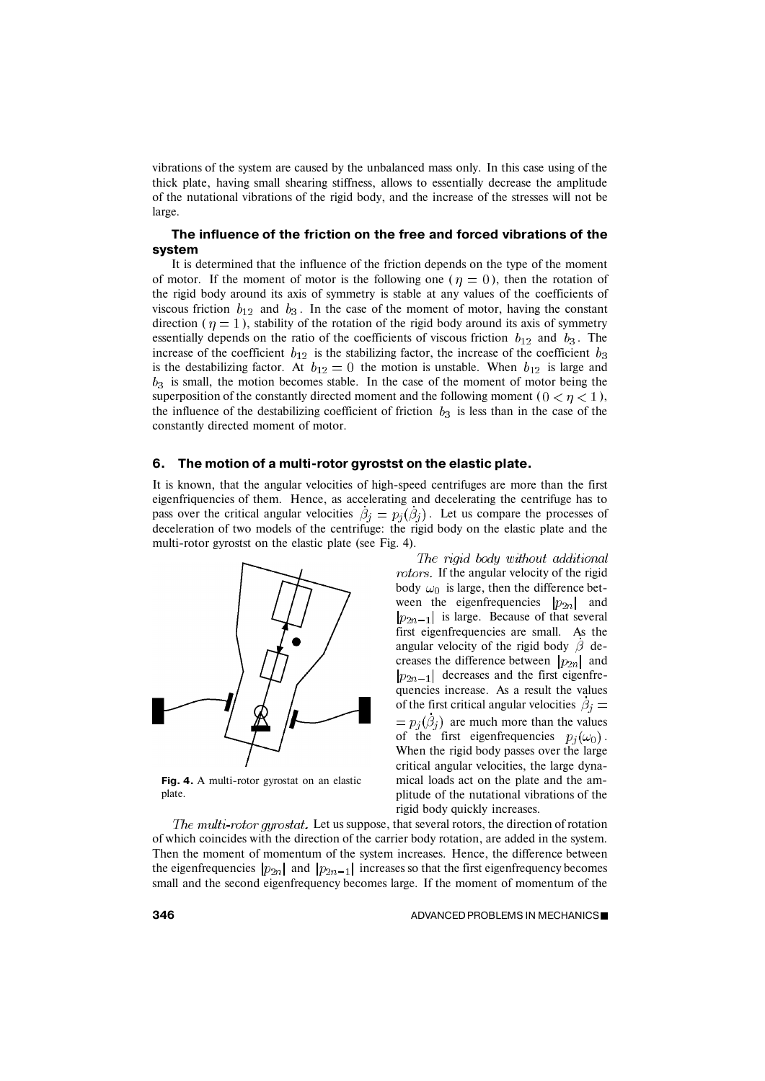vibrations of the system are caused by the unbalanced mass only. In this case using of the thick plate, having small shearing stiffness, allows to essentially decrease the amplitude of the nutational vibrations of the rigid body, and the increase of the stresses will not be large.

## **The influence of the friction on the free and forced vibrations of the system**

It is determined that the influence of the friction depends on the type of the moment of motor. If the moment of motor is the following one ( $\eta = 0$ ), then the rotation of the rigid body around its axis of symmetry is stable at any values of the coefficients of viscous friction  $b_{12}$  and  $b_3$ . In the case of the moment of motor, having the constant direction ( $\eta = 1$ ), stability of the rotation of the rigid body around its axis of symmetry essentially depends on the ratio of the coefficients of viscous friction  $b_{12}$  and  $b_3$ . The increase of the coefficient  $b_{12}$  is the stabilizing factor, the increase of the coefficient  $b_3$ is the destabilizing factor. At  $b_{12} = 0$  the motion is unstable. When  $b_{12}$  is large and  $b_3$  is small, the motion becomes stable. In the case of the moment of motor being the superposition of the constantly directed moment and the following moment ( $0 < \eta < 1$ ), the influence of the destabilizing coefficient of friction  $b_3$  is less than in the case of the constantly directed moment of motor.

#### **6. The motion of a multi-rotor gyrostst on the elastic plate.**

It is known, that the angular velocities of high-speed centrifuges are more than the first eigenfriquencies of them. Hence, as accelerating and decelerating the centrifuge has to pass over the critical angular velocities  $\beta_j = p_j(\beta_j)$ . Let us compare the processes of deceleration of two models of the centrifuge: the rigid body on the elastic plate and the multi-rotor gyrostst on the elastic plate (see Fig. 4).



**Fig. 4.** A multi-rotor gyrostat on an elastic plate.

The rigid body without additional rotors. If the angular velocity of the rigid body  $\omega_0$  is large, then the difference between the eigenfrequencies  $|p_{2n}|$  and  $|p_{2n-1}|$  is large. Because of that several first eigenfrequencies are small. As the angular velocity of the rigid body  $\beta$  decreases the difference between  $|p_{2n}|$  and  $|p_{2n-1}|$  decreases and the first eigenfrequencies increase. As a result the values of the first critical angular velocities  $\beta_i =$  $p_i(\beta_i)$  are much more than the values of the first eigenfrequencies  $p_i(\omega_0)$ . When the rigid body passes over the large critical angular velocities, the large dynamical loads act on the plate and the amplitude of the nutational vibrations of the rigid body quickly increases.

The multi-rotor gyrostat. Let us suppose, that several rotors, the direction of rotation of which coincides with the direction of the carrier body rotation, are added in the system. Then the moment of momentum of the system increases. Hence, the difference between the eigenfrequencies  $|p_{2n}|$  and  $|p_{2n-1}|$  increases so that the first eigenfrequency becomes small and the second eigenfrequency becomes large. If the moment of momentum of the